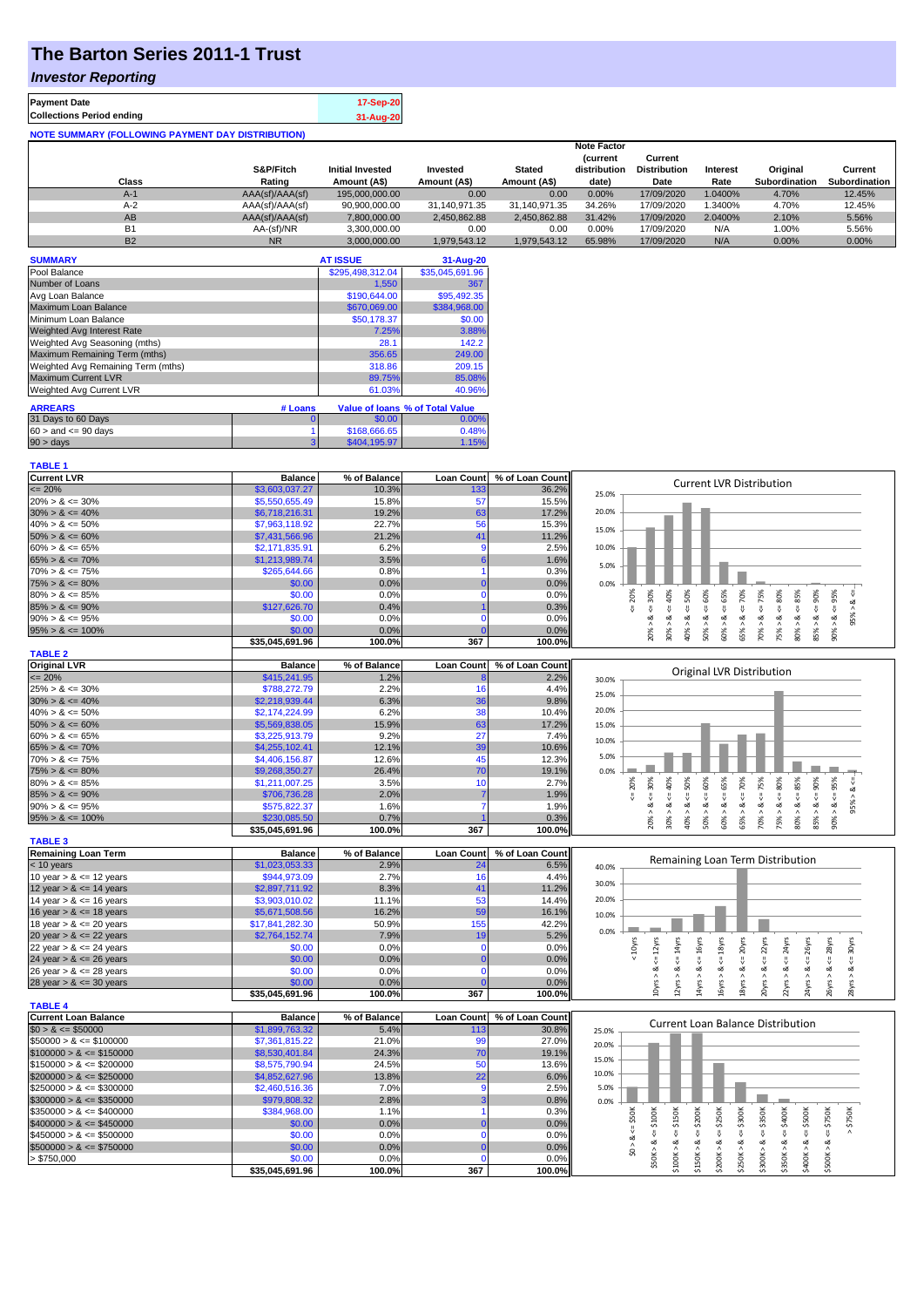## **The Barton Series 2011-1 Trust**

#### *Investor Reporting*

| <b>Payment Date</b><br><b>Collections Period ending</b>  | 17-Sep-20 |
|----------------------------------------------------------|-----------|
|                                                          | 31-Aug-20 |
| <b>NOTE SUMMARY (FOLLOWING PAYMENT DAY DISTRIBUTION)</b> |           |

|           | <b>Note Factor</b> |                         |               |               |                |                     |                 |                      |               |
|-----------|--------------------|-------------------------|---------------|---------------|----------------|---------------------|-----------------|----------------------|---------------|
|           |                    |                         |               |               | <b>Current</b> | Current             |                 |                      |               |
|           | S&P/Fitch          | <b>Initial Invested</b> | Invested      | <b>Stated</b> | distribution   | <b>Distribution</b> | <b>Interest</b> | Original             | Current       |
| Class     | Rating             | Amount (A\$)            | Amount (A\$)  | Amount (A\$)  | date)          | Date                | Rate            | <b>Subordination</b> | Subordination |
| $A-1$     | AAA(sf)/AAA(sf)    | 195,000,000,00          | 0.00          | 0.00          | 0.00%          | 17/09/2020          | 1.0400%         | 4.70%                | 12.45%        |
| $A-2$     | AAA(sf)/AAA(sf)    | 90.900.000.00           | 31.140.971.35 | 31.140.971.35 | 34.26%         | 17/09/2020          | .3400%          | 4.70%                | 12.45%        |
| AB        | AAA(sf)/AAA(sf)    | 7.800.000.00            | 2,450,862.88  | 2.450.862.88  | 31.42%         | 17/09/2020          | 2.0400%         | 2.10%                | 5.56%         |
| <b>B1</b> | AA-(sf)/NR         | 3.300.000.00            | 0.00          | 0.00          | 0.00%          | 17/09/2020          | N/A             | 1.00%                | 5.56%         |
| <b>B2</b> | <b>NR</b>          | 3.000.000.00            | 1.979.543.12  | 1.979.543.12  | 65.98%         | 17/09/2020          | N/A             | 0.00%                | 0.00%         |

| <b>SUMMARY</b>                     |         | <b>AT ISSUE</b>  | 31-Aug-20                       |
|------------------------------------|---------|------------------|---------------------------------|
| Pool Balance                       |         | \$295,498,312.04 | \$35,045,691.96                 |
| Number of Loans                    |         | 1,550            | 367                             |
| Avg Loan Balance                   |         | \$190,644,00     | \$95,492.35                     |
| Maximum Loan Balance               |         | \$670,069.00     | \$384,968.00                    |
| Minimum Loan Balance               |         | \$50,178.37      | \$0.00                          |
| Weighted Avg Interest Rate         |         | 7.25%            | 3.88%                           |
| Weighted Avg Seasoning (mths)      |         | 28.1             | 142.2                           |
| Maximum Remaining Term (mths)      |         | 356.65           | 249.00                          |
| Weighted Avg Remaining Term (mths) |         | 318.86           | 209.15                          |
| <b>Maximum Current LVR</b>         |         | 89.75%           | 85.08%                          |
| Weighted Avg Current LVR           |         | 61.03%           | 40.96%                          |
| <b>ARREARS</b>                     | # Loans |                  | Value of Ioans % of Total Value |
| 31 Days to 60 Days                 |         | \$0.00           | 0.00%                           |
| $60 >$ and $\leq 90$ days          |         | \$168,666.65     | 0.48%                           |
| 90 > days                          | 3       | \$404.195.97     | 1.15%                           |

| <b>TABLE 1</b>              |                 |              |                   |                 |                                                                                                                                                                                                  |
|-----------------------------|-----------------|--------------|-------------------|-----------------|--------------------------------------------------------------------------------------------------------------------------------------------------------------------------------------------------|
| <b>Current LVR</b>          | <b>Balance</b>  | % of Balance | <b>Loan Count</b> | % of Loan Count | <b>Current LVR Distribution</b>                                                                                                                                                                  |
| $= 20%$                     | \$3,603,037.27  | 10.3%        | 133               | 36.2%           | 25.0%                                                                                                                                                                                            |
| $20\% > 8 \le 30\%$         | \$5,550,655.49  | 15.8%        | 57                | 15.5%           |                                                                                                                                                                                                  |
| $30\% > 8 \le 40\%$         | \$6,718,216.31  | 19.2%        | 63                | 17.2%           | 20.0%                                                                                                                                                                                            |
| $40\% > 8 \le 50\%$         | \$7,963,118.92  | 22.7%        | 56                | 15.3%           | 15.0%                                                                                                                                                                                            |
| $50\% > 8 \le 60\%$         | \$7,431,566.96  | 21.2%        | 41                | 11.2%           |                                                                                                                                                                                                  |
| $60\% > 8 \le 65\%$         | \$2,171,835.91  | 6.2%         | 9                 | 2.5%            | 10.0%                                                                                                                                                                                            |
| $65\% > 8 \le 70\%$         | \$1,213,989.74  | 3.5%         | 6                 | 1.6%            |                                                                                                                                                                                                  |
| $70\% > 8 \le 75\%$         | \$265,644.66    | 0.8%         |                   | 0.3%            | 5.0%                                                                                                                                                                                             |
| $75\% > 8 \le 80\%$         | \$0.00          | 0.0%         |                   | 0.0%            | 0.0%                                                                                                                                                                                             |
| $80\% > 8 \le 85\%$         | \$0.00          | 0.0%         | $\mathbf 0$       | 0.0%            | $4 = 65\%$<br>20%<br>₩                                                                                                                                                                           |
| $85\% > 8 \le 90\%$         | \$127,626.70    | 0.4%         |                   | 0.3%            | 40%<br>$\leq 50\%$<br>$<=60%$<br>$<=70\%$<br>$\leq 85\%$<br>$4 = 95\%$<br>$4 = 30\%$<br>$4 = 75%$<br>$<=80\%$<br>$4 = 90\%$<br>ಷ<br>W                                                            |
| $90\% > 8 \le 95\%$         | \$0.00          | 0.0%         | $\Omega$          | 0.0%            | 95%<br>ಷ<br>ಷ<br>ઌ<br>ವ                                                                                                                                                                          |
| $95\% > 8 \le 100\%$        | \$0.00          | 0.0%         |                   | 0.0%            | $80\% > 8.$<br>40% > 8<br>50% > 8<br>60% > 8<br>65% > 8.<br>85% > 8<br>$90\% > 8$<br>30% ><br>70% ><br>75% >                                                                                     |
|                             | \$35,045,691.96 | 100.0%       | 367               | 100.0%          | 20%                                                                                                                                                                                              |
| <b>TABLE 2</b>              |                 |              |                   |                 |                                                                                                                                                                                                  |
| <b>Original LVR</b>         | <b>Balance</b>  | % of Balance | <b>Loan Count</b> | % of Loan Count |                                                                                                                                                                                                  |
| $\leq$ 20%                  | \$415,241.95    | 1.2%         |                   | 2.2%            | Original LVR Distribution<br>30.0%                                                                                                                                                               |
| $25\% > 8 \le 30\%$         | \$788,272.79    | 2.2%         | 16                | 4.4%            |                                                                                                                                                                                                  |
| $30\% > 8 \le 40\%$         | \$2,218,939.44  | 6.3%         | 36                | 9.8%            | 25.0%                                                                                                                                                                                            |
| $40\% > 8 \le 50\%$         | \$2,174,224.99  | 6.2%         | 38                | 10.4%           | 20.0%                                                                                                                                                                                            |
| $50\% > 8 \le 60\%$         | \$5,569,838.05  | 15.9%        | 63                | 17.2%           | 15.0%                                                                                                                                                                                            |
| $60\% > 8 \le 65\%$         | \$3,225,913.79  | 9.2%         | 27                | 7.4%            |                                                                                                                                                                                                  |
| $65\% > 8 \le 70\%$         | \$4,255,102.41  | 12.1%        | 39                | 10.6%           | 10.0%                                                                                                                                                                                            |
| $70\% > 8 \le 75\%$         | \$4,406,156.87  | 12.6%        | 45                | 12.3%           | 5.0%                                                                                                                                                                                             |
| $75\% > 8 \le 80\%$         | \$9,268,350.27  | 26.4%        | 70                | 19.1%           | 0.0%                                                                                                                                                                                             |
| $80\% > 8 \le 85\%$         | \$1,211,007.25  | 3.5%         | 10                | 2.7%            | 30%<br>50%<br>60%<br>70%<br>75%<br>80%<br>20%<br>v                                                                                                                                               |
| $85\% > 8 \le 90\%$         | \$706,736.28    | 2.0%         |                   | 1.9%            | $8 - 90%$<br>$<=40\%$<br>95% > 8.<br>W<br>v                                                                                                                                                      |
| $90\% > 8 \le 95\%$         | \$575,822.37    | 1.6%         | $\overline{7}$    | 1.9%            | 8 < 1<br>8 < 1<br>$&\leq$<br>$<=$<br>œ                                                                                                                                                           |
| $95\% > 8 \le 100\%$        | \$230,085.50    | 0.7%         |                   | 0.3%            | $80\% > 8 <= 85\%$<br>$90\% > 8 <= 95\%$<br>$60\% > 8 \le 65\%$<br>$50\% > 8$ <=<br>30% ><br>40% ><br>65% ><br>70% ><br>75% ><br>85%<br>20% >                                                    |
|                             | \$35,045,691.96 | 100.0%       | 367               | 100.0%          |                                                                                                                                                                                                  |
| <b>TABLE 3</b>              |                 |              |                   |                 |                                                                                                                                                                                                  |
| <b>Remaining Loan Term</b>  | <b>Balance</b>  | % of Balance | <b>Loan Count</b> | % of Loan Count |                                                                                                                                                                                                  |
| $< 10$ years                | \$1,023,053.33  | 2.9%         | 24                | 6.5%            | Remaining Loan Term Distribution<br>40.0%                                                                                                                                                        |
| 10 year $> 8 \le 12$ years  | \$944,973.09    | 2.7%         | 16                | 4.4%            |                                                                                                                                                                                                  |
| 12 year $> 8 \le 14$ years  | \$2,897,711.92  | 8.3%         | 41                | 11.2%           | 30.0%                                                                                                                                                                                            |
| 14 year $> 8 \le 16$ years  | \$3,903,010.02  | 11.1%        | 53                | 14.4%           | 20.0%                                                                                                                                                                                            |
| 16 year $> 8 \le 18$ years  | \$5,671,508.56  | 16.2%        | 59                | 16.1%           | 10.0%                                                                                                                                                                                            |
| 18 year $> 8 \le 20$ years  | \$17,841,282.30 | 50.9%        | 155               | 42.2%           |                                                                                                                                                                                                  |
| 20 year $> 8 \le 22$ years  | \$2,764,152.74  | 7.9%         | 19                | 5.2%            | 0.0%                                                                                                                                                                                             |
| 22 year $> 8 \le 24$ years  | \$0.00          | 0.0%         | $\mathbf 0$       | 0.0%            | $\Leftarrow$ 22 $\gamma$ rs<br>$\Leftarrow$ 14yrs<br>$\Leftarrow$ 16yrs<br>$\leq 18$ yrs<br>20yrs<br>$\Leftarrow$ 30yrs<br>< 10yrs<br>$\Leftarrow$ 24yrs<br>26yrs<br>28yrs<br>$\Leftarrow$ 12yrs |
| 24 year $> 8 \le 26$ years  | \$0.00          | 0.0%         |                   | 0.0%            | IJ.<br>IJ,<br>IJ.                                                                                                                                                                                |
| 26 year $> 8 \le 28$ years  | \$0.00          | 0.0%         | $\mathbf 0$       | 0.0%            | ಷ<br>ಷ<br>ಷ<br>∞<br>ಷ<br>ø                                                                                                                                                                       |
| 28 year $> 8 \le 30$ years  | \$0.00          | 0.0%         |                   | 0.0%            | 10yrs > 8<br>18yrs > 8                                                                                                                                                                           |
|                             | \$35,045,691.96 | 100.0%       | 367               | 100.0%          | 22yrs > 8<br>26yrs > 8.<br>$12\gamma$ rs ><br>14yrs<br>$16y$ rs ><br>20yrs ><br>24yrs ><br>28yrs > i                                                                                             |
| <b>TABLE 4</b>              |                 |              |                   |                 |                                                                                                                                                                                                  |
| <b>Current Loan Balance</b> | <b>Balance</b>  | % of Balance | <b>Loan Count</b> | % of Loan Count |                                                                                                                                                                                                  |
| $$0 > 8 \leq $50000$        | \$1,899,763.32  | 5.4%         | 113               | 30.8%           | Current Loan Balance Distribution<br>25.0%                                                                                                                                                       |
| $$50000 > 8 \le $100000$    | \$7,361,815.22  | 21.0%        | 99                | 27.0%           | 20.0%                                                                                                                                                                                            |
| $$100000 > 8 \leq $150000$  | \$8,530,401.84  | 24.3%        | 70                | 19.1%           |                                                                                                                                                                                                  |
| $$150000 > 8 \leq $200000$  | \$8,575,790.94  | 24.5%        | 50                | 13.6%           | 15.0%                                                                                                                                                                                            |
| $$200000 > 8 \leq $250000$  | \$4,852,627.96  | 13.8%        | 22                | 6.0%            | 10.0%                                                                                                                                                                                            |
| $$250000 > 8 \leq $300000$  | \$2,460,516.36  | 7.0%         | 9                 | 2.5%            | 5.0%                                                                                                                                                                                             |
| $$300000 > 8 \leq $350000$  | \$979,808.32    | 2.8%         | з                 | 0.8%            | 0.0%                                                                                                                                                                                             |
| $$350000 > 8 \leq $400000$  | \$384,968.00    | 1.1%         |                   | 0.3%            |                                                                                                                                                                                                  |
| $$400000 > 8 \leq $450000$  | \$0.00          | 0.0%         |                   | 0.0%            | $\Leftarrow$ \$150K<br>\$250K<br>45300K<br>$4 = $350K$<br>\$50K<br>\$200K<br>$\Leftarrow$ \$750K<br>\$400K<br>$4 = $500K$<br>$>$ \$750K                                                          |
| $$450000 > 8 \leq $500000$  | \$0.00          | 0.0%         | $\mathbf 0$       | 0.0%            | ₹<br>V<br><b>V</b><br>v                                                                                                                                                                          |
| $$500000 > 8 \leq $750000$  | \$0.00          | 0.0%         |                   | 0.0%            | \$0 > 8                                                                                                                                                                                          |
|                             | \$0.00          | 0.0%         | $\mathbf 0$       | 0.0%            | $$50K > 8 \Leftarrow $100K$<br>\$100K > 8<br>\$250K > 8<br>\$300K > 8<br>\$150K > 8<br>\$200K > 8<br>\$350K > 8<br>\$400K > 8<br>\$500K > 8                                                      |
| > \$750,000                 | \$35,045,691.96 | 100.0%       | 367               | 100.0%          |                                                                                                                                                                                                  |
|                             |                 |              |                   |                 |                                                                                                                                                                                                  |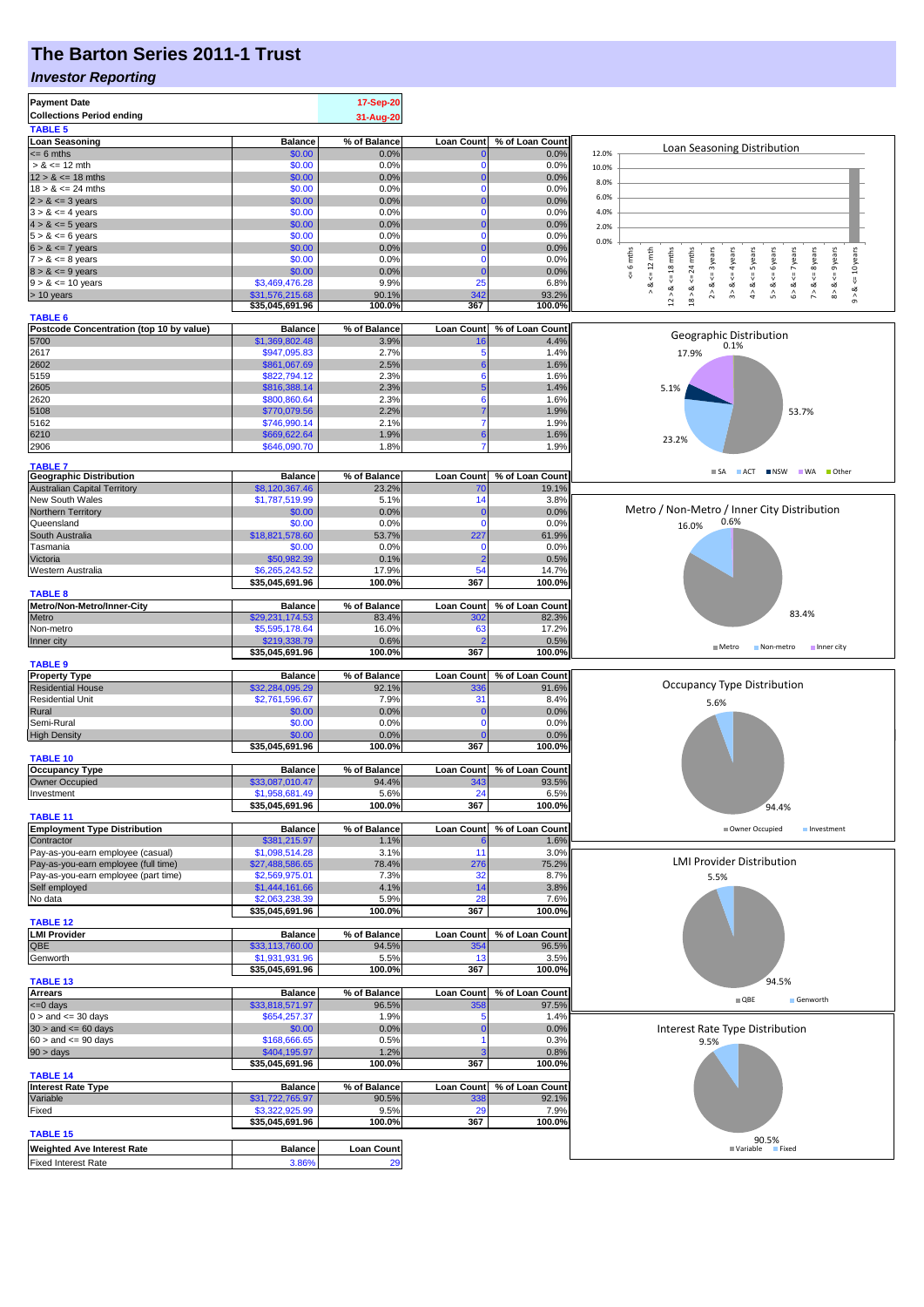## **The Barton Series 2011-1 Trust**

### *Investor Reporting*

| <b>Payment Date</b>                              |                                   | 17-Sep-20            |                   |                         |                                                                                                                                                                                                                                                   |
|--------------------------------------------------|-----------------------------------|----------------------|-------------------|-------------------------|---------------------------------------------------------------------------------------------------------------------------------------------------------------------------------------------------------------------------------------------------|
| <b>Collections Period ending</b>                 |                                   | 31-Aug-20            |                   |                         |                                                                                                                                                                                                                                                   |
| <b>TABLE 5</b>                                   |                                   |                      |                   |                         |                                                                                                                                                                                                                                                   |
| <b>Loan Seasoning</b>                            | <b>Balance</b>                    | % of Balance         | <b>Loan Count</b> | % of Loan Count         | Loan Seasoning Distribution                                                                                                                                                                                                                       |
| $\leq$ 6 mths                                    | \$0.00                            | 0.0%                 |                   | 0.0%                    | 12.0%                                                                                                                                                                                                                                             |
| $> 8 \le 12$ mth                                 | \$0.00                            | 0.0%                 |                   | 0.0%                    | 10.0%                                                                                                                                                                                                                                             |
| $12 > 8 \le 18$ mths                             | \$0.00                            | 0.0%                 | $\Omega$          | 0.0%                    | 8.0%                                                                                                                                                                                                                                              |
| $18 > 8 \le 24$ mths                             | \$0.00                            | 0.0%                 | $\Omega$          | 0.0%                    | 6.0%                                                                                                                                                                                                                                              |
| $2 > 8 \le 3$ years                              | \$0.00<br>\$0.00                  | 0.0%<br>0.0%         | n                 | 0.0%<br>0.0%            | 4.0%                                                                                                                                                                                                                                              |
| $3 > 8 \le 4$ years<br>$4 > 8 \le 5$ years       | \$0.00                            | 0.0%                 |                   | 0.0%                    |                                                                                                                                                                                                                                                   |
| $5 > 8 \le 6$ years                              | \$0.00                            | 0.0%                 | $\Omega$          | 0.0%                    | 2.0%                                                                                                                                                                                                                                              |
| $6 > 8 \le 7$ years                              | \$0.00                            | 0.0%                 |                   | 0.0%                    | 0.0%                                                                                                                                                                                                                                              |
| $7 > 8 \le 8$ years                              | \$0.00                            | 0.0%                 | 0                 | 0.0%                    | 6 mths<br>$12 > 8$ , $\lt = 18$ mths<br>24 mths<br>$2 > 8 < 3$ years<br>$8 > 8 < = 9$ years<br>$\leq 12$ mth<br>$3 > 8$ <= 4 years<br>$4 > 8$ <= 5 years<br>$5 > 8$ <= 6 years<br>$6 > 8 \le z$ years<br>$\le$ = 10 years<br>$7 > 8 <$ <= 8 years |
| $8 > 8 \le 9$ years                              | \$0.00                            | 0.0%                 |                   | 0.0%                    |                                                                                                                                                                                                                                                   |
| $9 > 8 \le 10$ years                             | \$3,469,476.28                    | 9.9%                 | 25                | 6.8%                    | $18 > 8 < =$<br>⊗<br>∧<br>ಷ                                                                                                                                                                                                                       |
| > 10 years                                       | \$31,576,215.68                   | 90.1%                | 342               | 93.2%                   | $^\wedge_\mathfrak{g}$                                                                                                                                                                                                                            |
|                                                  | \$35,045,691.96                   | 100.0%               | 367               | 100.0%                  |                                                                                                                                                                                                                                                   |
| <b>TABLE 6</b>                                   |                                   |                      |                   |                         |                                                                                                                                                                                                                                                   |
| Postcode Concentration (top 10 by value)<br>5700 | <b>Balance</b><br>\$1,369,802.48  | % of Balance<br>3.9% | <b>Loan Count</b> | % of Loan Count<br>4.4% | Geographic Distribution                                                                                                                                                                                                                           |
| 2617                                             | \$947,095.83                      | 2.7%                 | Б                 | 1.4%                    | 0.1%<br>17.9%                                                                                                                                                                                                                                     |
| 2602                                             | \$861,067.69                      | 2.5%                 |                   | 1.6%                    |                                                                                                                                                                                                                                                   |
| 5159                                             | \$822,794.12                      | 2.3%                 | 6                 | 1.6%                    |                                                                                                                                                                                                                                                   |
| 2605                                             | \$816,388.14                      | 2.3%                 |                   | 1.4%                    | 5.1%                                                                                                                                                                                                                                              |
| 2620                                             | \$800,860.64                      | 2.3%                 | 6                 | 1.6%                    |                                                                                                                                                                                                                                                   |
| 5108                                             | \$770,079.56                      | 2.2%                 |                   | 1.9%                    | 53.7%                                                                                                                                                                                                                                             |
| 5162                                             | \$746,990.14                      | 2.1%                 |                   | 1.9%                    |                                                                                                                                                                                                                                                   |
| 6210                                             | \$669,622.64                      | 1.9%                 |                   | 1.6%                    | 23.2%                                                                                                                                                                                                                                             |
| 2906                                             | \$646,090.70                      | 1.8%                 |                   | 1.9%                    |                                                                                                                                                                                                                                                   |
| <b>TABLE 7</b>                                   |                                   |                      |                   |                         |                                                                                                                                                                                                                                                   |
| <b>Geographic Distribution</b>                   | <b>Balance</b>                    | % of Balance         | Loan Count        | % of Loan Count         | $\blacksquare$ SA<br>ACT NSW WA Other                                                                                                                                                                                                             |
| <b>Australian Capital Territory</b>              | \$8,120,367.46                    | 23.2%                | 70                | 19.1%                   |                                                                                                                                                                                                                                                   |
| New South Wales                                  | \$1,787,519.99                    | 5.1%                 | 14                | 3.8%                    |                                                                                                                                                                                                                                                   |
| Northern Territory                               | \$0.00                            | 0.0%                 | O                 | 0.0%                    | Metro / Non-Metro / Inner City Distribution                                                                                                                                                                                                       |
| Queensland                                       | \$0.00                            | 0.0%                 | $\Omega$          | 0.0%                    | 0.6%<br>16.0%                                                                                                                                                                                                                                     |
| South Australia                                  | \$18,821,578.60                   | 53.7%                | 227               | 61.9%                   |                                                                                                                                                                                                                                                   |
| Tasmania                                         | \$0.00                            | 0.0%                 | O                 | 0.0%                    |                                                                                                                                                                                                                                                   |
| Victoria                                         | \$50,982.39                       | 0.1%                 |                   | 0.5%                    |                                                                                                                                                                                                                                                   |
| Western Australia                                | \$6,265,243.52<br>\$35,045,691.96 | 17.9%<br>100.0%      | 54<br>367         | 14.7%<br>100.0%         |                                                                                                                                                                                                                                                   |
| <b>TABLE 8</b>                                   |                                   |                      |                   |                         |                                                                                                                                                                                                                                                   |
| Metro/Non-Metro/Inner-City                       | <b>Balance</b>                    | % of Balance         | Loan Count        | % of Loan Count         |                                                                                                                                                                                                                                                   |
| Metro                                            | \$29,231,174.53                   | 83.4%                | 302               | 82.3%                   | 83.4%                                                                                                                                                                                                                                             |
| Non-metro                                        | \$5,595,178.64                    | 16.0%                | 63                | 17.2%                   |                                                                                                                                                                                                                                                   |
| Inner city                                       | \$219,338.79                      | 0.6%                 |                   | 0.5%                    |                                                                                                                                                                                                                                                   |
|                                                  | \$35,045,691.96                   | 100.0%               | 367               | 100.0%                  | ■ Metro<br>Non-metro<br>Inner city                                                                                                                                                                                                                |
| <b>TABLE 9</b>                                   |                                   |                      |                   |                         |                                                                                                                                                                                                                                                   |
|                                                  |                                   |                      |                   |                         |                                                                                                                                                                                                                                                   |
| <b>Property Type</b>                             | <b>Balance</b>                    | % of Balance         | <b>Loan Count</b> | % of Loan Count         |                                                                                                                                                                                                                                                   |
| <b>Residential House</b>                         | \$32,284,095.29                   | 92.1%                | 336               | 91.6%                   | Occupancy Type Distribution                                                                                                                                                                                                                       |
| <b>Residential Unit</b>                          | \$2,761,596.67                    | 7.9%                 | 31                | 8.4%                    | 5.6%                                                                                                                                                                                                                                              |
| Rural                                            | \$0.00                            | 0.0%                 | C                 | 0.0%                    |                                                                                                                                                                                                                                                   |
| Semi-Rural                                       | \$0.00                            | 0.0%                 | $\Omega$          | 0.0%                    |                                                                                                                                                                                                                                                   |
| <b>High Density</b>                              | \$0.00                            | 0.0%                 |                   | 0.0%                    |                                                                                                                                                                                                                                                   |
|                                                  | \$35,045,691.96                   | 100.0%               | 367               | 100.0%                  |                                                                                                                                                                                                                                                   |
| <b>TABLE 10</b>                                  |                                   |                      |                   |                         |                                                                                                                                                                                                                                                   |
| <b>Occupancy Type</b>                            | <b>Balance</b>                    | % of Balance         | Loan Count        | % of Loan Count         |                                                                                                                                                                                                                                                   |
| <b>Owner Occupied</b>                            | \$33,087,010.47                   | 94.4%                | 343               | 93.5%                   |                                                                                                                                                                                                                                                   |
| Investment                                       | \$1,958,681.49<br>\$35,045,691.96 | 5.6%<br>100.0%       | 24<br>367         | 6.5%<br>100.0%          |                                                                                                                                                                                                                                                   |
| <b>TABLE 11</b>                                  |                                   |                      |                   |                         | 94.4%                                                                                                                                                                                                                                             |
| <b>Employment Type Distribution</b>              | <b>Balance</b>                    | % of Balance         | <b>Loan Count</b> | % of Loan Count         | Owner Occupied<br>Investment                                                                                                                                                                                                                      |
| Contractor                                       | \$381,215.97                      | 1.1%                 |                   | 1.6%                    |                                                                                                                                                                                                                                                   |
| Pay-as-you-earn employee (casual)                | \$1,098,514.28                    | 3.1%                 | 11                | 3.0%                    |                                                                                                                                                                                                                                                   |
| Pay-as-you-earn employee (full time)             | \$27,488,586.65                   | 78.4%                | 276               | 75.2%                   | <b>LMI Provider Distribution</b>                                                                                                                                                                                                                  |
| Pay-as-you-earn employee (part time)             | \$2,569,975.01                    | 7.3%                 | 32                | 8.7%                    | 5.5%                                                                                                                                                                                                                                              |
| Self employed                                    | \$1,444,161.66                    | 4.1%                 | 14                | 3.8%                    |                                                                                                                                                                                                                                                   |
| No data                                          | \$2,063,238.39                    | 5.9%                 | 28                | 7.6%                    |                                                                                                                                                                                                                                                   |
| <b>TABLE 12</b>                                  | \$35,045,691.96                   | 100.0%               | 367               | 100.0%                  |                                                                                                                                                                                                                                                   |
| <b>LMI Provider</b>                              | <b>Balance</b>                    | % of Balance         | <b>Loan Count</b> | % of Loan Count         |                                                                                                                                                                                                                                                   |
| QBE                                              | \$33,113,760.00                   | 94.5%                | 354               | 96.5%                   |                                                                                                                                                                                                                                                   |
| Genworth                                         | \$1,931,931.96                    | 5.5%                 | 13                | 3.5%                    |                                                                                                                                                                                                                                                   |
|                                                  | \$35,045,691.96                   | 100.0%               | 367               | 100.0%                  |                                                                                                                                                                                                                                                   |
| <b>TABLE 13</b>                                  |                                   |                      |                   |                         | 94.5%                                                                                                                                                                                                                                             |
| <b>Arrears</b>                                   | <b>Balance</b>                    | % of Balance         | <b>Loan Count</b> | % of Loan Count         | $\blacksquare$ QBE<br>Genworth                                                                                                                                                                                                                    |
| <= 0 days                                        | \$33,818,571.97                   | 96.5%                | 358               | 97.5%                   |                                                                                                                                                                                                                                                   |
| $0 >$ and $\leq$ 30 days                         | \$654,257.37                      | 1.9%                 |                   | 1.4%                    |                                                                                                                                                                                                                                                   |
| $30 >$ and $\leq 60$ days                        | \$0.00                            | 0.0%                 |                   | 0.0%                    | Interest Rate Type Distribution                                                                                                                                                                                                                   |
| $60 >$ and $\leq 90$ days                        | \$168,666.65                      | 0.5%                 |                   | 0.3%                    | 9.5%                                                                                                                                                                                                                                              |
| 90 > days                                        | \$404,195.97                      | 1.2%                 |                   | 0.8%                    |                                                                                                                                                                                                                                                   |
| <b>TABLE 14</b>                                  | \$35,045,691.96                   | 100.0%               | 367               | 100.0%                  |                                                                                                                                                                                                                                                   |
| <b>Interest Rate Type</b>                        | <b>Balance</b>                    | % of Balance         | <b>Loan Count</b> | % of Loan Count         |                                                                                                                                                                                                                                                   |
| Variable                                         | \$31,722,765.97                   | 90.5%                | 338               | 92.1%                   |                                                                                                                                                                                                                                                   |
| Fixed                                            | \$3,322,925.99                    | 9.5%                 | 29                | 7.9%                    |                                                                                                                                                                                                                                                   |
|                                                  | \$35,045,691.96                   | 100.0%               | 367               | 100.0%                  |                                                                                                                                                                                                                                                   |
| <b>TABLE 15</b>                                  |                                   |                      |                   |                         |                                                                                                                                                                                                                                                   |
| <b>Weighted Ave Interest Rate</b>                | <b>Balance</b>                    | <b>Loan Count</b>    |                   |                         | 90.5%<br>■ Variable<br>Fixed                                                                                                                                                                                                                      |